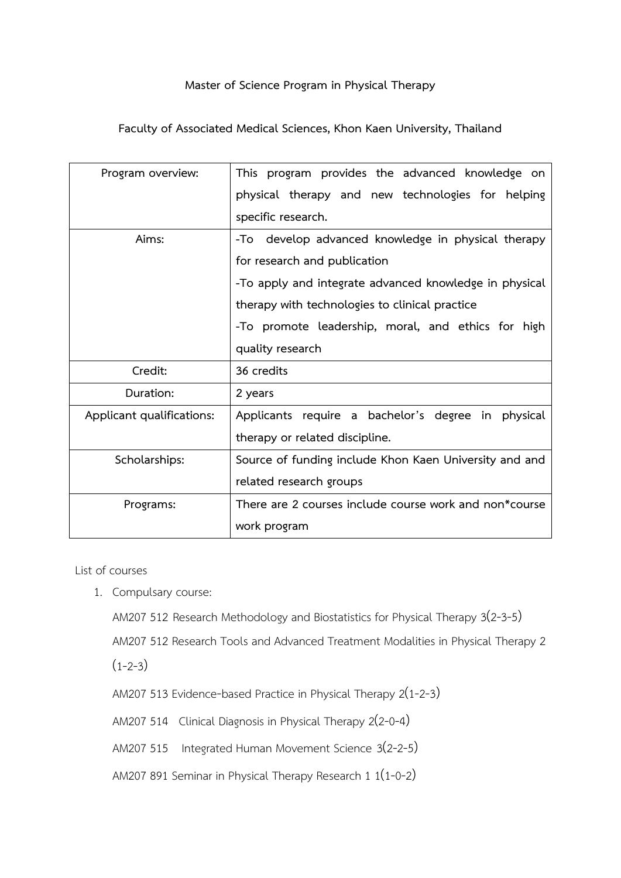## **Master of Science Program in Physical Therapy**

**Faculty of Associated Medical Sciences, Khon Kaen University, Thailand**

| Program overview:         | This program provides the advanced knowledge on        |
|---------------------------|--------------------------------------------------------|
|                           | physical therapy and new technologies for helping      |
|                           | specific research.                                     |
| Aims:                     | -To develop advanced knowledge in physical therapy     |
|                           | for research and publication                           |
|                           | -To apply and integrate advanced knowledge in physical |
|                           | therapy with technologies to clinical practice         |
|                           | -To promote leadership, moral, and ethics for high     |
|                           | quality research                                       |
| Credit:                   | 36 credits                                             |
| Duration:                 | 2 years                                                |
| Applicant qualifications: | Applicants require a bachelor's degree in physical     |
|                           | therapy or related discipline.                         |
| Scholarships:             | Source of funding include Khon Kaen University and and |
|                           | related research groups                                |
| Programs:                 | There are 2 courses include course work and non*course |
|                           | work program                                           |

List of courses

1. Compulsary course:

AM207 512 Research Methodology and Biostatistics for Physical Therapy 3(2-3-5)

AM207 512 Research Tools and Advanced Treatment Modalities in Physical Therapy 2

 $(1-2-3)$ 

AM207 513 Evidence-based Practice in Physical Therapy 2(1-2-3)

AM207 514 Clinical Diagnosis in Physical Therapy 2(2-0-4)

AM207 515 Integrated Human Movement Science 3(2-2-5)

AM207 891 Seminar in Physical Therapy Research 1 1(1-0-2)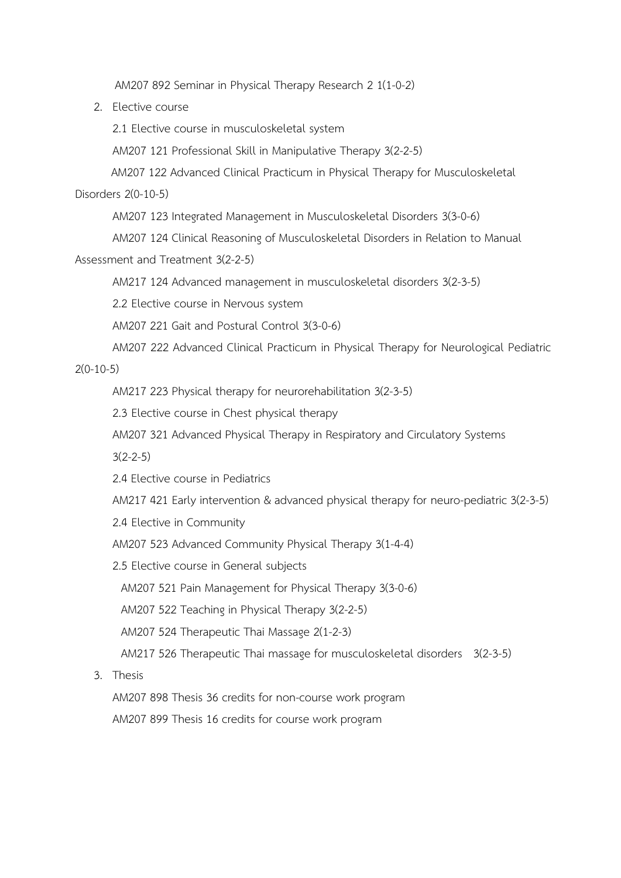AM207 892 Seminar in Physical Therapy Research 2 1(1-0-2)

2. Elective course

2.1 Elective course in musculoskeletal system

AM207 121 Professional Skill in Manipulative Therapy 3(2-2-5)

AM207 122 Advanced Clinical Practicum in Physical Therapy for Musculoskeletal

### Disorders 2(0-10-5)

AM207 123 Integrated Management in Musculoskeletal Disorders 3(3-0-6)

AM207 124 Clinical Reasoning of Musculoskeletal Disorders in Relation to Manual

Assessment and Treatment 3(2-2-5)

AM217 124 Advanced management in musculoskeletal disorders 3(2-3-5)

2.2 Elective course in Nervous system

AM207 221 Gait and Postural Control 3(3-0-6)

AM207 222 Advanced Clinical Practicum in Physical Therapy for Neurological Pediatric

### 2(0-10-5)

AM217 223 Physical therapy for neurorehabilitation 3(2-3-5)

2.3 Elective course in Chest physical therapy

AM207 321 Advanced Physical Therapy in Respiratory and Circulatory Systems

 $3(2 - 2 - 5)$ 

2.4 Elective course in Pediatrics

AM217 421 Early intervention & advanced physical therapy for neuro-pediatric 3(2-3-5)

2.4 Elective in Community

AM207 523 Advanced Community Physical Therapy 3(1-4-4)

2.5 Elective course in General subjects

AM207 521 Pain Management for Physical Therapy 3(3-0-6)

AM207 522 Teaching in Physical Therapy 3(2-2-5)

AM207 524 Therapeutic Thai Massage 2(1-2-3)

AM217 526 Therapeutic Thai massage for musculoskeletal disorders 3(2-3-5)

3. Thesis

AM207 898 Thesis 36 credits for non-course work program

AM207 899 Thesis 16 credits for course work program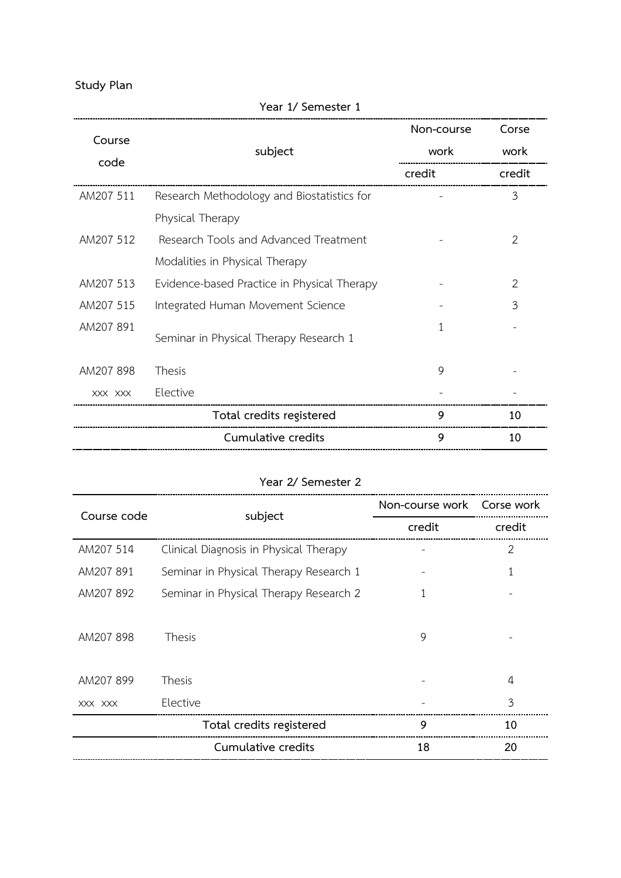**Study Plan**

|           | subject                                     | Non-course | Corse         |
|-----------|---------------------------------------------|------------|---------------|
| Course    |                                             | work       | work          |
| code      |                                             | credit     | credit        |
| AM207 511 | Research Methodology and Biostatistics for  |            | 3             |
|           | Physical Therapy                            |            |               |
| AM207 512 | Research Tools and Advanced Treatment       |            | 2             |
|           | Modalities in Physical Therapy              |            |               |
| AM207 513 | Evidence-based Practice in Physical Therapy |            | $\mathcal{P}$ |
| AM207 515 | Integrated Human Movement Science           |            | 3             |
| AM207 891 | Seminar in Physical Therapy Research 1      | 1          |               |
| AM207 898 | Thesis                                      | 9          |               |
| XXX XXX   | Elective                                    |            |               |
|           | Total credits registered                    | 9          | 10            |
|           | Cumulative credits                          | 9          | 10            |

# **Year 1/ Semester 1**

### **Year 2/ Semester 2**

| Course code | subject                                | Non-course work Corse work |                |
|-------------|----------------------------------------|----------------------------|----------------|
|             |                                        | credit                     | credit         |
| AM207 514   | Clinical Diagnosis in Physical Therapy |                            | $\overline{2}$ |
| AM207 891   | Seminar in Physical Therapy Research 1 |                            |                |
| AM207 892   | Seminar in Physical Therapy Research 2 |                            |                |
|             |                                        |                            |                |
| AM207898    | Thesis                                 | 9                          |                |
|             |                                        |                            |                |
| AM207899    | Thesis                                 |                            | 4              |
| XXX XXX     | Elective                               |                            | 3              |
|             | Total credits registered               | 9                          | 10             |
|             | Cumulative credits                     | 18                         | 20             |